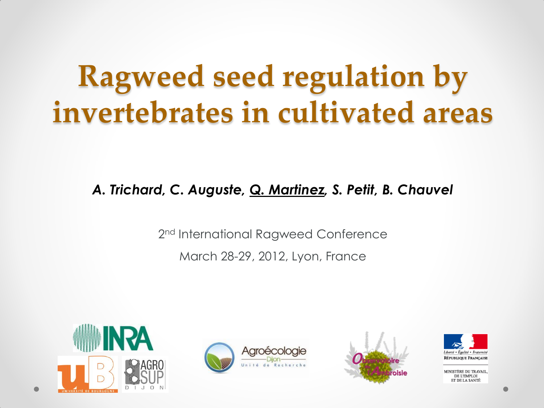## **Ragweed seed regulation by invertebrates in cultivated areas**

*A. Trichard, C. Auguste, Q. Martinez, S. Petit, B. Chauvel*

2<sup>nd</sup> International Ragweed Conference March 28-29, 2012, Lyon, France









INISTERE DU TRAVAIL. DE L'EMPLOI ET DE LA SANTÉ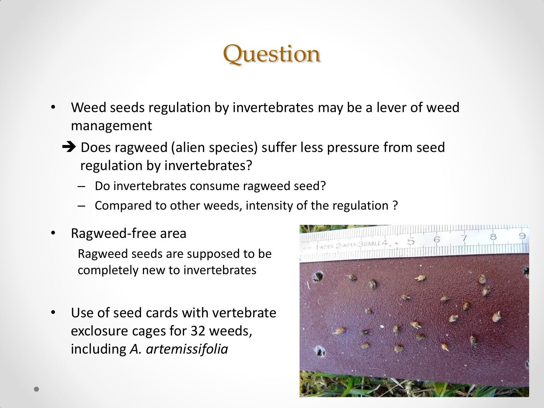#### **Ouestion**

- Weed seeds regulation by invertebrates may be a lever of weed management
	- → Does ragweed (alien species) suffer less pressure from seed regulation by invertebrates?
		- Do invertebrates consume ragweed seed?
		- Compared to other weeds, intensity of the regulation ?
- Ragweed-free area

Ragweed seeds are supposed to be completely new to invertebrates

Use of seed cards with vertebrate exclosure cages for 32 weeds, including *A. artemissifolia*

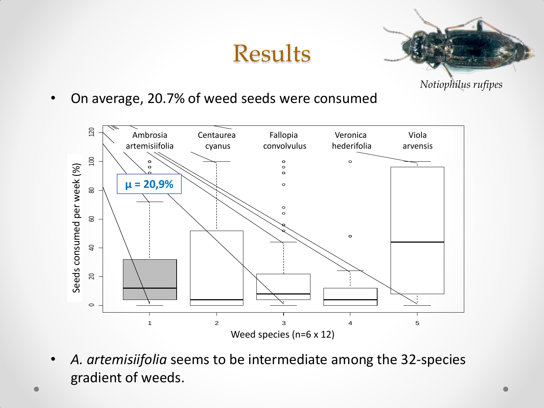#### Results



- *Notiophilus rufipes*
- On average, 20.7% of weed seeds were consumed



• *A. artemisiifolia* seems to be intermediate among the 32-species gradient of weeds.